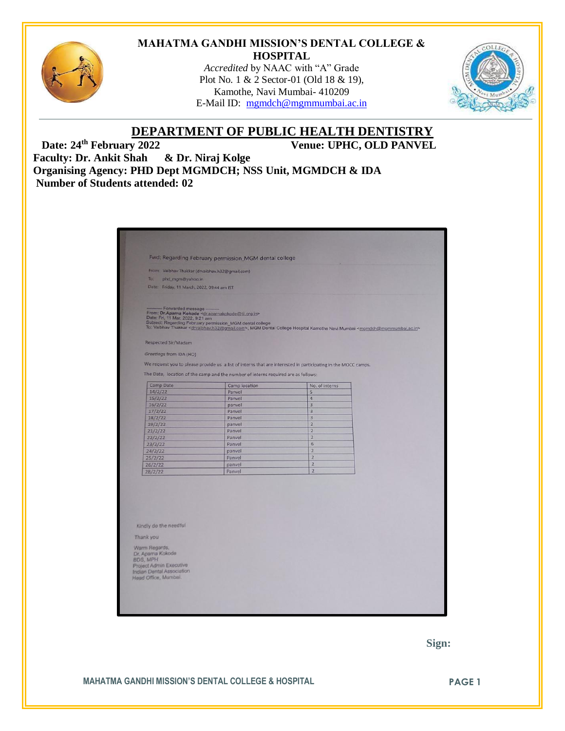

#### **MAHATMA GANDHI MISSION'S DENTAL COLLEGE & HOSPITAL**

*Accredited* by NAAC with "A" Grade Plot No. 1 & 2 Sector-01 (Old 18 & 19), Kamothe, Navi Mumbai- 410209 E-Mail ID: [mgmdch@mgmmumbai.ac.in](mailto:mgmdch@mgmmumbai.ac.in)



# **DEPARTMENT OF PUBLIC HEALTH DENTISTRY**

Date:  $24^{\text{th}}$  **February 2022** Venue: UPHC, OLD PANVEL

**Faculty: Dr. Ankit Shah & Dr. Niraj Kolge Organising Agency: PHD Dept MGMDCH; NSS Unit, MGMDCH & IDA Number of Students attended: 02**

|                                                                                      | Fwd: Regarding February permission_MGM dental college                                                                                          |                                                                                                                                                                            |  |
|--------------------------------------------------------------------------------------|------------------------------------------------------------------------------------------------------------------------------------------------|----------------------------------------------------------------------------------------------------------------------------------------------------------------------------|--|
| From: Vaibhav Thakkar (drvaibhav.h32@gmail.com)                                      |                                                                                                                                                |                                                                                                                                                                            |  |
| To:<br>phd_mgm@yahoo.in                                                              |                                                                                                                                                |                                                                                                                                                                            |  |
| Date: Friday, 11 March, 2022, 09:44 am IST                                           |                                                                                                                                                |                                                                                                                                                                            |  |
|                                                                                      |                                                                                                                                                |                                                                                                                                                                            |  |
| - Forwarded message -<br>Date: Fri, 11 Mar, 2022, 9:21 am                            | From: Dr.Aparna Kokode <dr.aparnakokode@tii.org.in><br/>Subject: Regarding February permission_MGM dental college</dr.aparnakokode@tii.org.in> | To: Vaibhav Thakkar <drvaibhav,h32@gmail.com>, MGM Dental College Hospital Kamothe Navi Mumbai <mgmdch@mgmmumbal.ac.in></mgmdch@mgmmumbal.ac.in></drvaibhav,h32@gmail.com> |  |
| Respected Sir/Madam                                                                  |                                                                                                                                                |                                                                                                                                                                            |  |
|                                                                                      |                                                                                                                                                |                                                                                                                                                                            |  |
| Greetings from IDA (HO)                                                              |                                                                                                                                                |                                                                                                                                                                            |  |
|                                                                                      |                                                                                                                                                | We request you to please provide us a list of interns that are interested in participating in the MOCC camps.                                                              |  |
|                                                                                      |                                                                                                                                                |                                                                                                                                                                            |  |
|                                                                                      | The Date, location of the camp and the number of interns required are as follows:                                                              |                                                                                                                                                                            |  |
| Camp Date                                                                            | Camp location                                                                                                                                  | No. of interns                                                                                                                                                             |  |
| 14/2/22                                                                              | Panvel                                                                                                                                         | $\overline{5}$                                                                                                                                                             |  |
| 15/2/22                                                                              | Panvel                                                                                                                                         | $\overline{4}$                                                                                                                                                             |  |
| 16/2/22                                                                              | panvel                                                                                                                                         | $\overline{3}$                                                                                                                                                             |  |
| 17/2/22                                                                              | Panvel                                                                                                                                         | 3                                                                                                                                                                          |  |
| 18/2/22                                                                              | Panvel                                                                                                                                         | $\overline{3}$                                                                                                                                                             |  |
| 19/2/22                                                                              | panvel                                                                                                                                         | $\overline{2}$                                                                                                                                                             |  |
| 21/2/22                                                                              | Panvel                                                                                                                                         | $\overline{2}$                                                                                                                                                             |  |
| 22/2/22                                                                              | Panvel                                                                                                                                         | $\overline{2}$                                                                                                                                                             |  |
| 23/2/22                                                                              | Panvel                                                                                                                                         | 6<br>$\overline{2}$                                                                                                                                                        |  |
| 24/2/22                                                                              | panvel                                                                                                                                         | 2                                                                                                                                                                          |  |
| 25/2/22                                                                              | Panvel                                                                                                                                         | $\overline{2}$                                                                                                                                                             |  |
| 26/2/22                                                                              | panvel                                                                                                                                         | $\overline{2}$                                                                                                                                                             |  |
| 28/2/22                                                                              | Panvel                                                                                                                                         |                                                                                                                                                                            |  |
| Kindly do the needful<br>Thank you<br>Warm Regards,<br>Dr. Aparna Kokode<br>BDS, MPH |                                                                                                                                                |                                                                                                                                                                            |  |

 **Sign:**

**MAHATMA GANDHI MISSION'S DENTAL COLLEGE & HOSPITAL PAGE 1**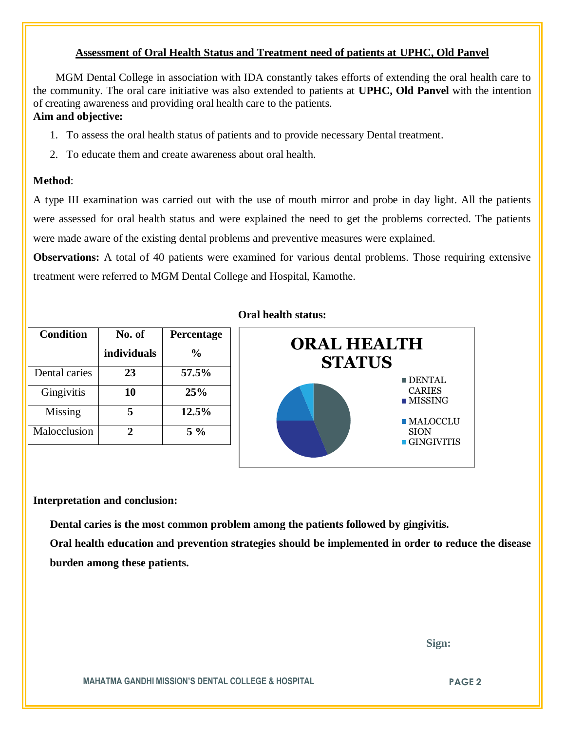### **Assessment of Oral Health Status and Treatment need of patients at UPHC, Old Panvel**

 MGM Dental College in association with IDA constantly takes efforts of extending the oral health care to the community. The oral care initiative was also extended to patients at **UPHC, Old Panvel** with the intention of creating awareness and providing oral health care to the patients. **Aim and objective:** 

## 1. To assess the oral health status of patients and to provide necessary Dental treatment.

2. To educate them and create awareness about oral health.

#### **Method**:

A type III examination was carried out with the use of mouth mirror and probe in day light. All the patients were assessed for oral health status and were explained the need to get the problems corrected. The patients were made aware of the existing dental problems and preventive measures were explained.

**Observations:** A total of 40 patients were examined for various dental problems. Those requiring extensive treatment were referred to MGM Dental College and Hospital, Kamothe.

| <b>Condition</b> | No. of      | Percentage    |
|------------------|-------------|---------------|
|                  | individuals | $\frac{0}{0}$ |
| Dental caries    | 23          | 57.5%         |
| Gingivitis       | 10          | 25%           |
| Missing          | 5           | 12.5%         |
| Malocclusion     | 2.          | $5\%$         |

#### **Oral health status:**



#### **Interpretation and conclusion:**

 **Dental caries is the most common problem among the patients followed by gingivitis.**

**Oral health education and prevention strategies should be implemented in order to reduce the disease burden among these patients.**

 **Sign:**

**MAHATMA GANDHI MISSION'S DENTAL COLLEGE & HOSPITAL <b>PAGE 2**